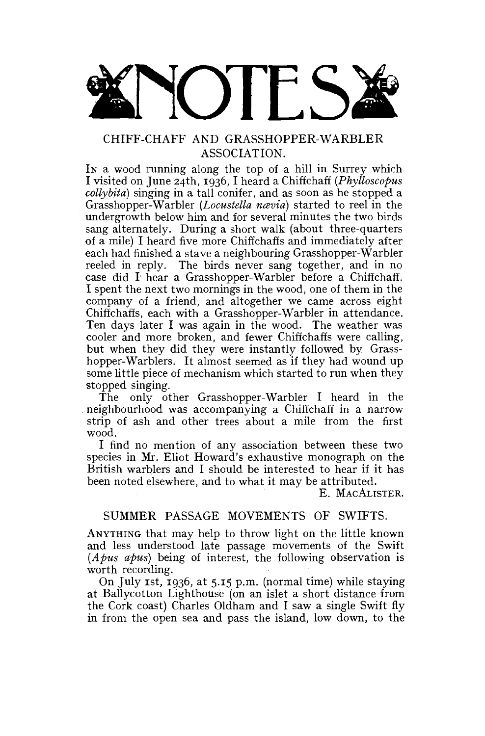

# ASSOCIATION.

In a wood running along the top of a hill in Surrey which I visited on June 24th, 1936, I heard a Chiffchaff  $(Phylloscopus)$ collybita) singing in a tall conifer, and as soon as he stopped a *Grasshopper-Warbler (Locustella navia)* started to reel in the undergrowth below him and for several minutes the two birds sang alternately. During a short walk (about three-quarters of a mile) I heard five more Chiffchaffs and immediately after each had finished a stave a neighbouring Grasshopper-Warbler reeled in reply. The birds never sang together, and in no reeled in reply. The birds never sang together, and in no case did I hear a Grasshopper-Warbler before a Chiffchaff.<br>Langut the next two momings in the wood, and of them in the I spent the next two mornings in the wood, one of them in the company of a friend, and altogether we came across eight Chiffchaffs, each with a Grasshopper-Warbler in attendance. Ten days later I was again in the wood. The weather was cooler and more broken, and fewer Chiffchaffs were calling, but when they did they were instantly followed by Grasshopper-Warblers. It almost seemed as if they had wound up some little piece of mechanism which started to run when they stopped singing.

The only other Grasshopper-Warbler I heard in the neighbourhood was accompanying a Chiffchaff in a narrow strip of ash and other trees about a mile from the first wood.

I find no mention of any association between these two species in Mr. Eliot Howard's exhaustive monograph on the British warblers and I should be interested to hear if it has been noted elsewhere, and to what it may be attributed.

E. MACALISTER.

### SUMMER PASSAGE MOVEMENTS OF SWIFTS.

ANYTHING that may help to throw light on the little known and less understood late passage movements of the Swift *(Apus apus)* being of interest, the following observation is worth recording.

On July 1st, 1936, at 5.15 p.m. (normal time) while staying at Ballycotton Lighthouse (on an islet a short distance from the Cork coast) Charles Oldham and I saw a single Swift fly in from the open sea and pass the island, low down, to the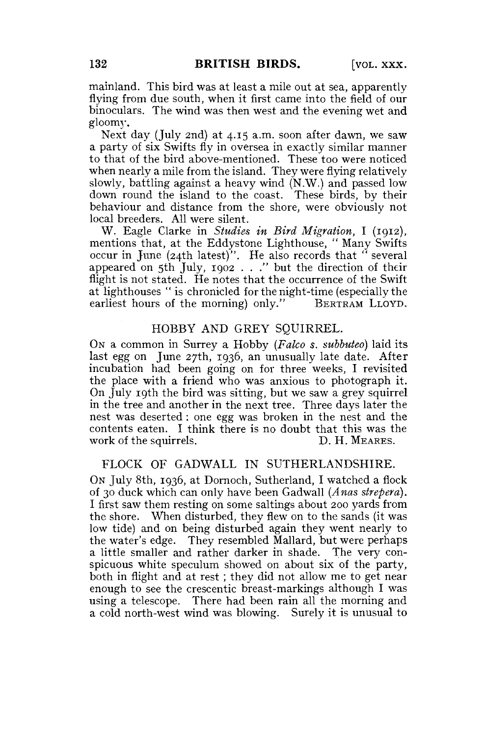mainland. This bird was at least a mile out at sea, apparently flying from due south, when it first came into the field of our binoculars. The wind was then west and the evening wet and gloomy.

Next day (July 2nd) at 4.15 a.m. soon after dawn, we saw a party of six Swifts fly in oversea in exactly similar manner to that of the bird above-mentioned. These too were noticed when nearly a mile from the island. They were flying relatively slowly, battling against a heavy wind (N.W.) and passed low down round the island to the coast. These birds, by their behaviour and distance from the shore, were obviously not local breeders. All were silent.

W. Eagle Clarke in *Studies in Bird Migration,* I (1912), mentions that, at the Eddystone Lighthouse, " Many Swifts occur in June (24th latest)". He also records that " several appeared on 5th July, 1902 . . ." but the direction of their flight is not stated. He notes that the occurrence of the Swift at lighthouses " is chronicled for the night-time (especially the earliest hours of the morning) only." BERTRAM LLOYD.

#### HOBBY AND GREY SQUIRREL.

ON a common in Surrey a Hobby *(Falco s. subbuteo)* laid its last egg on June 27th, 1936, an unusually late date. After incubation had been going on for three weeks, I revisited the place with a friend who was anxious to photograph it. On July 19th the bird was sitting, but we saw a grey squirrel in the tree and another in the next tree. Three days later the nest was deserted: one egg was broken in the nest and the contents eaten. I think there is no doubt that this was the work of the squirrels. D. H. MEARES.

## FLOCK OF GADWALL IN SUTHERLANDSHIRE.

ON July 8th, 1936, at Dornoch, Sutherland, I watched a flock of 30 duck which can only have been Gadwall *{Anas strefera).*  I first saw them resting on some saltings about 200 yards from the shore. When disturbed, they flew on to the sands (it was low tide) and on being disturbed again they went nearly to the water's edge. They resembled Mallard, but were perhaps a little smaller and rather darker in shade. The very conspicuous white speculum showed on. about six of the party, both in flight and at rest; they did not allow me to get near enough to see the crescentic breast-markings although I was using a telescope. There had been rain all the morning and a cold north-west wind was blowing. Surely it is unusual to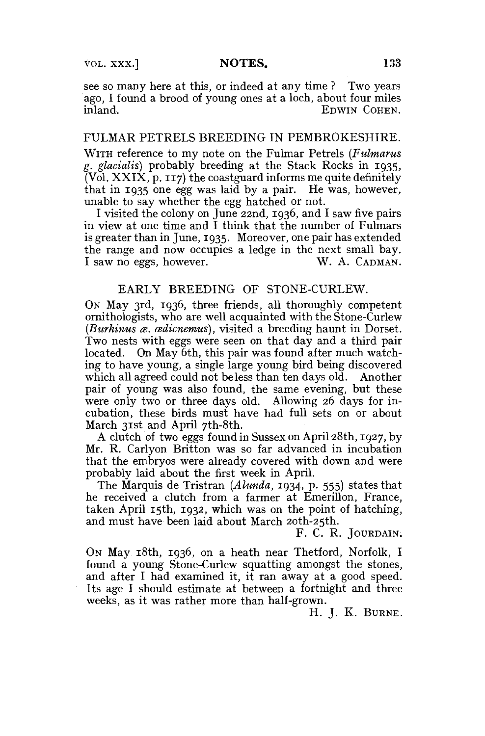see so many here at this, or indeed at any time ? Two years ago, I found a brood of young ones at a loch, about four miles EDWIN COHEN.

## FULMAR PETRELS BREEDING IN PEMBROKESHIRE.

WITH reference to my note on the Fulmar Petrels *(Fulmarus g. glacialis)* probably breeding at the Stack Rocks in 1935,  $\overline{V}$ ol. XXIX, p. 117) the coastguard informs me quite definitely that in 1935 one egg was laid by a pair. He was, however, unable to say whether the egg hatched or not.

I visited the colony on June 22nd, 1936, and I saw five pairs in view at one time and I think that the number of Fulmars is greater than in June, 1935. Moreover, one pair has extended the range and now occupies a ledge in the next small bay. I saw no eggs, however. W. A. CADMAN.

## EARLY BREEDING OF STONE-CURLEW.

ON May 3rd, 1936, three friends, all thoroughly competent ornithologists, who are well acquainted with the Stone-Curlew *(Burhinus ce. cedicnemus),* visited a breeding haunt in Dorset. Two nests with eggs were seen on that day and a third pair located. On May 6th, this pair was found after much watching to have young, a single large young bird being discovered which all agreed could not be less than ten days old. Another pair of young was also found, the same evening, but these were only two or three days old. Allowing 26 days for incubation, these birds must have had full sets on or about March 31st and April 7th-8th.

A clutch of two eggs found in Sussex on April 28th, 1927, by Mr. R. Carlyon Britton was so far advanced in incubation that the embryos were already covered with down and were probably laid about the first week in April.

The Marquis de Tristran *(Alunda,* 1934, p. 555) states that he received a clutch from a farmer at Emerillon, France, taken April 15th, 1932, which was on the point of hatching, and must have been laid about March 2oth-25th.

F. C. R. JOURDAIN.

ON May 18th, 1936, on a heath near Thetford, Norfolk, I found a young Stone-Curlew squatting amongst the stones, and after I had examined it, it ran away at a good speed. Its age I should estimate at between a fortnight and three weeks, as it was rather more than half-grown.

H. J. K. BURNE.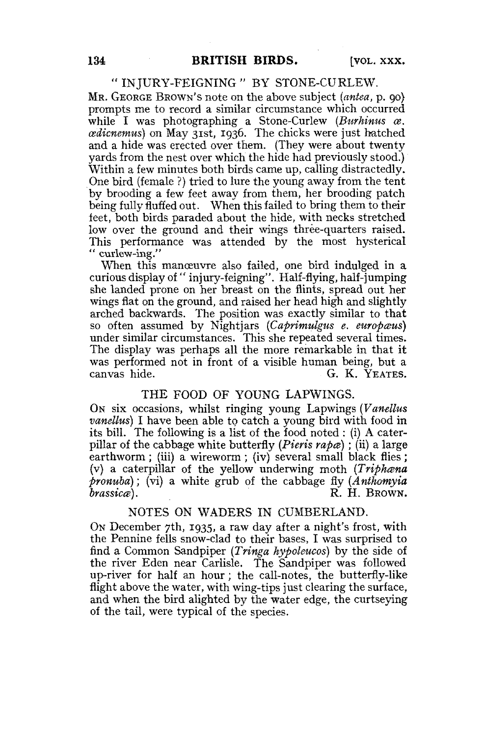# " INJURY-FEIGNING " BY STONE-CURLEW.

MR. GEORGE BROWN'S note on the above subject *(antea,* p. 90} prompts me to record a similar circumstance which occurred while I was photographing a Stone-Curlew (Burhinus  $\alpha$ . *eedicnemus)* on May 31st, 1936. The chicks were just hatched and a hide was erected over them. (They were about twenty yards from the nest over which the hide had previously stood.) Within a few minutes both birds came up, calling distractedly. One bird (female ?) tried to lure the young away from the tent by brooding a few feet away from them, her brooding patch being fully fluffed out. When this failed to bring them to their feet, both birds paraded about the hide, with necks stretched low over the ground and their wings three-quarters raised. This performance was attended by the most hysterical " curlew-ing."

When this manceuvre also failed, one bird indulged in a curious display of " injury-feigning". Half-flying, half-jumping she landed prone on her breast on the flints, spread out her wings flat on the ground, and raised her head high and slightly arched backwards. The position was exactly similar to that so often assumed by Nightjars (Caprimulgus e. europæus) under similar circumstances. This she repeated several times. The display was perhaps all the more remarkable in that it was performed not in front of a visible human being, but a canvas hide. G. K. YEATES.

#### THE FOOD OF YOUNG LAPWINGS.

ON six occasions, whilst ringing young Lapwings *{Vanellus vanellus)* I have been able to catch a young bird with food in its bill. The following is a list of the food noted : (i) A caterpillar of the cabbage white butterfly *(Pieris rapee) ;* (ii) a large earthworm ; (iii) a wireworm ; (iv) several small black flies ; (v) a caterpillar of the yellow underwing moth *(Triphana pronuba);* (vi) a white grub of the cabbage fly *(Anthomyia brassica*). **R. H. BROWN.** 

#### NOTES ON WADERS IN CUMBERLAND.

ON December 7th, 1935, a raw day after a night's frost, with the Pennine fells snow-clad to their bases, I was surprised to find a Common Sandpiper *(Tringa hypoleucos)* by the side of the river Eden near Carlisle. The Sandpiper was followed up-river for half an hour; the call-notes, the butterfly-like flight above the water, with wing-tips just clearing the surface, and when the bird alighted by the water edge, the curtseying of the tail, were typical of the species.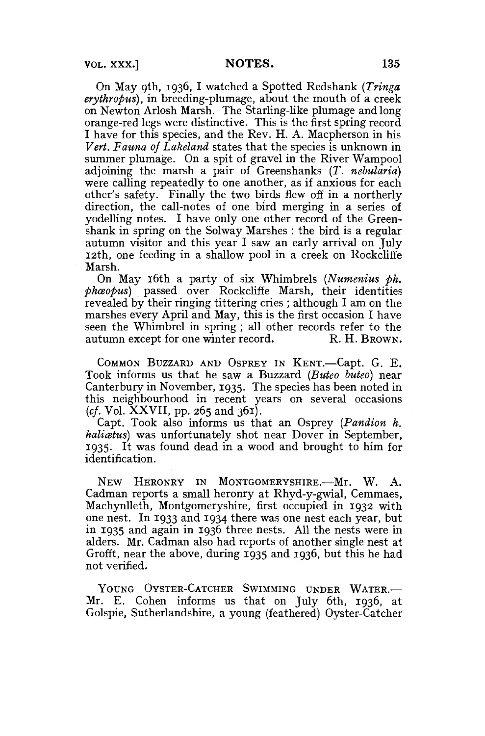On May 9th, 1936, I watched a Spotted Redshank *(Tringa erythropus),* in breeding-plumage, about the mouth of a creek on Newton Arlosh Marsh. The Starling-like plumage and long orange-red legs were distinctive. This is the first spring record I have for this species, and the Rev. H. A. Macpherson in his *Vert. Fauna of Lakeland* states that the species is unknown in summer plumage. On a spit of gravel in the River Wampool adjoining the marsh a pair of Greenshanks *(T. nebularia)*  were calling repeatedly to one another, as if anxious for each other's safety. Finally the two birds flew off in a northerly direction, the call-notes of one bird merging in a series of yodelling notes. I have only one other record of the Greenshank in spring on the Solway Marshes : the bird is a regular autumn visitor and this year I saw an early arrival on July 12th, one feeding in a shallow pool in a creek on Rockcliffe Marsh.

On May 16th a party of six Whimbrels *(Numenius ph. phceopus)* passed over Rockcliffe Marsh, their identities revealed by their ringing tittering cries ; although I am on the marshes every April and May, this is the first occasion I have seen the Whimbrel in spring; all other records refer to the autumn except for one winter record. R. H. BROWN. autumn except for one winter record.

COMMON BUZZARD AND OSPREY IN KENT.—Capt. G. E. Took informs us that he saw a Buzzard *(Buteo buteo)* near Canterbury in November, 1935. The species has been noted in this neighbourhood in recent years on several occasions  $(cf. Vol. XXVII, pp. 265 and 361).$ 

Capt. Took also informs us that an Osprey *{Pandion h.*  haliatus) was unfortunately shot near Dover in September, 1935. It was found dead in a wood and brought to him for identification.

NEW HERONRY IN MONTGOMERYSHIRE.—Mr. W. A. Cadman reports a small heronry at Rhyd-y-gwial, Cemmaes, Machynlleth, Montgomeryshire, first occupied in 1932 with one nest. In 1933 and 1934 there was one nest each year, but in 1935 and again in 1936 three nests. All the nests were in alders. Mr. Cadman also had reports of another single nest at Grofft, near the above, during 1935 and 1936, but this he had not verified.

YOUNG OYSTER-CATCHER SWIMMING UNDER WATER.— Mr. E. Cohen informs us that on July 6th, 1936, at Golspie, Sutherlandshire, a young (feathered) Oyster-Catcher